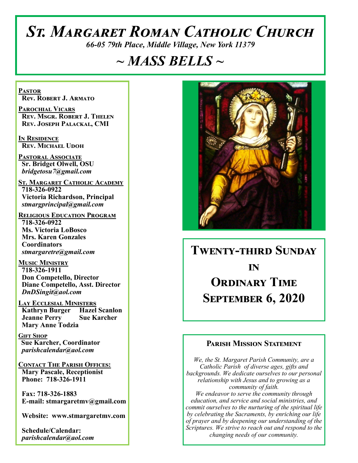# *St. Margaret Roman Catholic Church*

*66-05 79th Place, Middle Village, New York 11379*

## *~ MASS BELLS ~*

**Pastor Rev. Robert J. Armato**

**Parochial Vicars Rev. Msgr. Robert J. Thelen Rev. Joseph Palackal, CMI**

**In Residence Rev. Michael Udoh**

**Pastoral Associate Sr. Bridget Olwell, OSU**  *bridgetosu7@gmail.com*

**St. Margaret Catholic Academy 718-326-0922 Victoria Richardson, Principal**  *stmargprincipal@gmail.com*

**Religious Education Program 718-326-0922 Ms. Victoria LoBosco Mrs. Karen Gonzales Coordinators** *stmargaretre@gmail.com*

**Music Ministry 718-326-1911 Don Competello, Director Diane Competello, Asst. Director** *DnDSingit@aol.com*

**Lay Ecclesial Ministers Kathryn Burger Hazel Scanlon Jeanne Perry Sue Karcher Mary Anne Todzia**

**Gift Shop Sue Karcher, Coordinator** *parishcalendar@aol.com*

**Contact The Parish Offices: Mary Pascale, Receptionist Phone: 718-326-1911** 

 **Fax: 718-326-1883 E-mail: stmargaretmv@gmail.com**

 **Website: www.stmargaretmv.com**

 **Schedule/Calendar:** *parishcalendar@aol.com* 



## **Twenty-third Sunday in Ordinary Time September 6, 2020**

#### **Parish Mission Statement**

*We, the St. Margaret Parish Community, are a Catholic Parish of diverse ages, gifts and backgrounds. We dedicate ourselves to our personal relationship with Jesus and to growing as a community of faith. We endeavor to serve the community through education, and service and social ministries, and commit ourselves to the nurturing of the spiritual life by celebrating the Sacraments, by enriching our life of prayer and by deepening our understanding of the Scriptures. We strive to reach out and respond to the changing needs of our community.*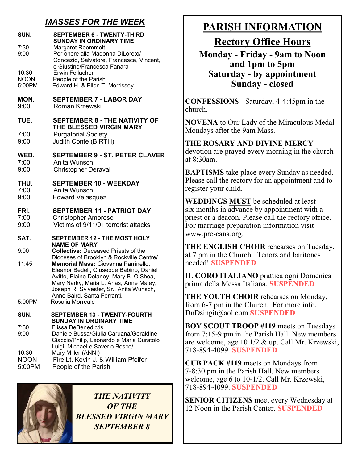## *MASSES FOR THE WEEK*

| Concezio, Salvatore, Francesca, Vincent,                                                                                                                                                                                                                    |
|-------------------------------------------------------------------------------------------------------------------------------------------------------------------------------------------------------------------------------------------------------------|
|                                                                                                                                                                                                                                                             |
| <b>SEPTEMBER 8 - THE NATIVITY OF</b>                                                                                                                                                                                                                        |
| <b>SEPTEMBER 9 - ST. PETER CLAVER</b>                                                                                                                                                                                                                       |
|                                                                                                                                                                                                                                                             |
| <b>SEPTEMBER 11 - PATRIOT DAY</b><br>Victims of 9/11/01 terrorist attacks                                                                                                                                                                                   |
| <b>SEPTEMBER 12 - THE MOST HOLY</b>                                                                                                                                                                                                                         |
|                                                                                                                                                                                                                                                             |
|                                                                                                                                                                                                                                                             |
| Dioceses of Brooklyn & Rockville Centre/<br>Memorial Mass: Giovanna Parrinello,<br>Eleanor Bedell, Giuseppe Babino, Daniel<br>Avitto, Elaine Delaney, Mary B. O'Shea,<br>Mary Narky, Maria L. Arias, Anne Maley,<br>Joseph R. Sylvester, Sr., Anita Wunsch, |
| <b>SEPTEMBER 13 - TWENTY-FOURTH</b>                                                                                                                                                                                                                         |
|                                                                                                                                                                                                                                                             |



*THE NATIVITY OF THE BLESSED VIRGIN MARY SEPTEMBER 8*

## **PARISH INFORMATION**

**Rectory Office Hours** 

**Monday - Friday - 9am to Noon and 1pm to 5pm Saturday - by appointment Sunday - closed**

**CONFESSIONS** - Saturday, 4-4:45pm in the church.

**NOVENA** to Our Lady of the Miraculous Medal Mondays after the 9am Mass.

**THE ROSARY AND DIVINE MERCY** devotion are prayed every morning in the church at 8:30am.

**BAPTISMS** take place every Sunday as needed. Please call the rectory for an appointment and to register your child.

**WEDDINGS MUST** be scheduled at least six months in advance by appointment with a priest or a deacon. Please call the rectory office. For marriage preparation information visit www.pre-cana.org.

**THE ENGLISH CHOIR** rehearses on Tuesday, at 7 pm in the Church. Tenors and baritones needed! **SUSPENDED**

**IL CORO ITALIANO** prattica ogni Domenica prima della Messa Italiana. **SUSPENDED**

**THE YOUTH CHOIR** rehearses on Monday, from 6-7 pm in the Church. For more info, DnDsingit@aol.com **SUSPENDED**

**BOY SCOUT TROOP #119** meets on Tuesdays from 7:15-9 pm in the Parish Hall. New members are welcome, age 10 1/2 & up. Call Mr. Krzewski, 718-894-4099. **SUSPENDED**

**CUB PACK #119** meets on Mondays from 7-8:30 pm in the Parish Hall. New members welcome, age 6 to 10-1/2. Call Mr. Krzewski, 718-894-4099. **SUSPENDED**

**SENIOR CITIZENS** meet every Wednesday at 12 Noon in the Parish Center. **SUSPENDED**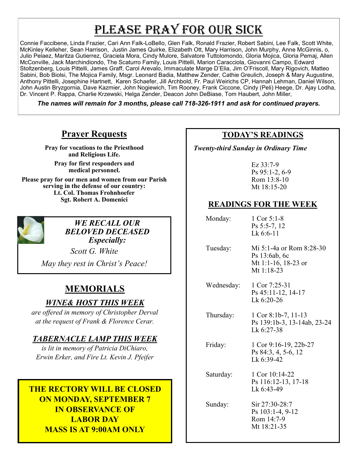## PLEASE PRAY FOR OUR SICK

Connie Faccibene, Linda Frazier, Cari Ann Falk-LoBello, Glen Falk, Ronald Frazier, Robert Sabini, Lee Falk, Scott White, McKinley Kelleher, Sean Harrison, Justin James Quirke, Elizabeth Ott, Mary Harrison, John Murphy, Anne McGinnis, o, Julio Pelaez, Maritza Gutierrez, Graciela Mora, Cindy Mulore, Salvatore Tuttolomondo, Gloria Mojica, Gloria Pemaj, Allen McConville, Jack Marchindiondo, The Scaturro Family, Louis Pittelli, Marion Caracciola, Giovanni Campo, Edward Stoltzenberg, Louis Pittelli, James Graff, Carol Arevalo, Immaculate Marge D'Elia, Jim O'Friscoll, Mary Rigovich, Matteo Sabini, Bob Biolsi, The Mojica Family, Msgr. Leonard Badia, Matthew Zender, Cathie Greulich, Joseph & Mary Augustine, Anthony Pittelli, Josephine Hartnett, Karen Schaefer, Jill Archbold, Fr. Paul Weirichs CP, Hannah Lehman, Daniel Wilson, John Austin Bryzgornia, Dave Kazmier, John Nogiewich, Tim Rooney, Frank Ciccone, Cindy (Peli) Heege, Dr. Ajay Lodha, Dr. Vincent P. Rappa, Charlie Krzewski, Helga Zender, Deacon John DeBiase, Tom Haubert, John Miller,

*The names will remain for 3 months, please call 718-326-1911 and ask for continued prayers.*

## **Prayer Requests**

**Pray for vocations to the Priesthood and Religious Life.** 

**Pray for first responders and medical personnel.**

**Please pray for our men and women from our Parish serving in the defense of our country: Lt. Col. Thomas Frohnhoefer Sgt. Robert A. Domenici** 



*WE RECALL OUR BELOVED DECEASED Especially:*

*Scott G. White*

*May they rest in Christ's Peace!*

## **MEMORIALS**

#### *WINE& HOST THIS WEEK*

*are offered in memory of Christopher Derval at the request of Frank & Florence Cerar.*

#### *TABERNACLE LAMP THIS WEEK*

*is lit in memory of Patricia DiChiaro, Erwin Erker, and Fire Lt. Kevin J. Pfeifer* 

## **THE RECTORY WILL BE CLOSED ON MONDAY, SEPTEMBER 7 IN OBSERVANCE OF LABOR DAY MASS IS AT 9:00AM ONLY**

#### **TODAY'S READINGS**

 *Twenty-third Sunday in Ordinary Time*

Ez 33:7-9 Ps 95:1-2, 6-9 Rom 13:8-10 Mt 18:15-20

#### **READINGS FOR THE WEEK**

| Monday: | 1 Cor $5:1-8$  |
|---------|----------------|
|         | $Ps$ 5:5-7, 12 |
|         | Lk $6:6-11$    |

- Tuesday: Mi 5:1-4a or Rom 8:28-30 Ps 13:6ab, 6c Mt 1:1-16, 18-23 or Mt 1:18-23
- Wednesday: 1 Cor 7:25-31 Ps 45:11-12, 14-17 Lk 6:20-26
- Thursday: 1 Cor 8:1b-7, 11-13 Ps 139:1b-3, 13-14ab, 23-24 Lk 6:27-38

 Friday: 1 Cor 9:16-19, 22b-27 Ps 84:3, 4, 5-6, 12 Lk 6:39-42

Saturday: 1 Cor 10:14-22 Ps 116:12-13, 17-18 Lk 6:43-49

Sunday: Sir 27:30-28:7

Ps 103:1-4, 9-12 Rom 14:7-9 Mt 18:21-35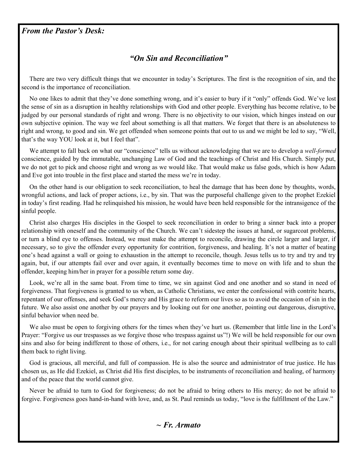#### *From the Pastor's Desk:*

#### *"On Sin and Reconciliation"*

 There are two very difficult things that we encounter in today's Scriptures. The first is the recognition of sin, and the second is the importance of reconciliation.

 No one likes to admit that they've done something wrong, and it's easier to bury if it "only" offends God. We've lost the sense of sin as a disruption in healthy relationships with God and other people. Everything has become relative, to be judged by our personal standards of right and wrong. There is no objectivity to our vision, which hinges instead on our own subjective opinion. The way we feel about something is all that matters. We forget that there is an absoluteness to right and wrong, to good and sin. We get offended when someone points that out to us and we might be led to say, "Well, that's the way YOU look at it, but I feel that".

We attempt to fall back on what our "conscience" tells us without acknowledging that we are to develop a *well-formed*  conscience, guided by the immutable, unchanging Law of God and the teachings of Christ and His Church. Simply put, we do not get to pick and choose right and wrong as we would like. That would make us false gods, which is how Adam and Eve got into trouble in the first place and started the mess we're in today.

 On the other hand is our obligation to seek reconciliation, to heal the damage that has been done by thoughts, words, wrongful actions, and lack of proper actions, i.e., by sin. That was the purposeful challenge given to the prophet Ezekiel in today's first reading. Had he relinquished his mission, he would have been held responsible for the intransigence of the sinful people.

 Christ also charges His disciples in the Gospel to seek reconciliation in order to bring a sinner back into a proper relationship with oneself and the community of the Church. We can't sidestep the issues at hand, or sugarcoat problems, or turn a blind eye to offenses. Instead, we must make the attempt to reconcile, drawing the circle larger and larger, if necessary, so to give the offender every opportunity for contrition, forgiveness, and healing. It's not a matter of beating one's head against a wall or going to exhaustion in the attempt to reconcile, though. Jesus tells us to try and try and try again, but, if our attempts fail over and over again, it eventually becomes time to move on with life and to shun the offender, keeping him/her in prayer for a possible return some day.

Look, we're all in the same boat. From time to time, we sin against God and one another and so stand in need of forgiveness. That forgiveness is granted to us when, as Catholic Christians, we enter the confessional with contrite hearts, repentant of our offenses, and seek God's mercy and His grace to reform our lives so as to avoid the occasion of sin in the future. We also assist one another by our prayers and by looking out for one another, pointing out dangerous, disruptive, sinful behavior when need be.

 We also must be open to forgiving others for the times when they've hurt us. (Remember that little line in the Lord's Prayer: "Forgive us our trespasses as we forgive those who trespass against us"!) We will be held responsible for our own sins and also for being indifferent to those of others, i.e., for not caring enough about their spiritual wellbeing as to call them back to right living.

 God is gracious, all merciful, and full of compassion. He is also the source and administrator of true justice. He has chosen us, as He did Ezekiel, as Christ did His first disciples, to be instruments of reconciliation and healing, of harmony and of the peace that the world cannot give.

 Never be afraid to turn to God for forgiveness; do not be afraid to bring others to His mercy; do not be afraid to forgive. Forgiveness goes hand-in-hand with love, and, as St. Paul reminds us today, "love is the fulfillment of the Law."

*~ Fr. Armato*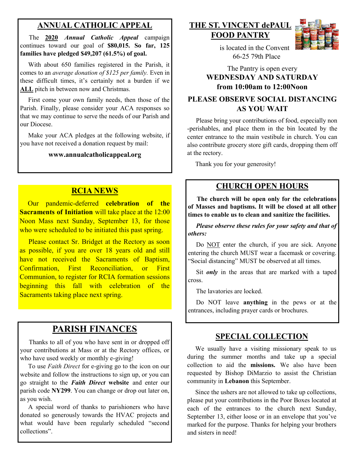### **ANNUAL CATHOLIC APPEAL**

 The **2020** *Annual Catholic Appeal* campaign continues toward our goal of **\$80,015. So far, 125 families have pledged \$49,207 (61.5%) of goal.** 

 With about 650 families registered in the Parish, it comes to an *average donation of \$125 per family.* Even in these difficult times, it's certainly not a burden if we **ALL** pitch in between now and Christmas.

 First come your own family needs, then those of the Parish. Finally, please consider your ACA responses so that we may continue to serve the needs of our Parish and our Diocese.

 Make your ACA pledges at the following website, if you have not received a donation request by mail:

#### **www.annualcatholicappeal.org**

#### **RCIA NEWS**

 Our pandemic-deferred **celebration of the Sacraments of Initiation** will take place at the 12:00 Noon Mass next Sunday, September 13, for those who were scheduled to be initiated this past spring.

 Please contact Sr. Bridget at the Rectory as soon as possible, if you are over 18 years old and still have not received the Sacraments of Baptism, Confirmation, First Reconciliation, or First Communion, to register for RCIA formation sessions beginning this fall with celebration of the Sacraments taking place next spring.

## **PARISH FINANCES**

 Thanks to all of you who have sent in or dropped off your contributions at Mass or at the Rectory offices, or who have used weekly or monthly e-giving!

 To use *Faith Direct* for e-giving go to the icon on our website and follow the instructions to sign up, or you can go straight to the *Faith Direct* **website** and enter our parish code **NY299**. You can change or drop out later on, as you wish.

 A special word of thanks to parishioners who have donated so generously towards the HVAC projects and what would have been regularly scheduled "second collections".

#### **THE ST. VINCENT dePAUL FOOD PANTRY**



 is located in the Convent 66-25 79th Place

#### The Pantry is open every **WEDNESDAY AND SATURDAY from 10:00am to 12:00Noon**

#### **PLEASE OBSERVE SOCIAL DISTANCING AS YOU WAIT**

 Please bring your contributions of food, especially non -perishables, and place them in the bin located by the center entrance to the main vestibule in church. You can also contribute grocery store gift cards, dropping them off at the rectory.

Thank you for your generosity!

#### **CHURCH OPEN HOURS**

 **The church will be open only for the celebrations of Masses and baptisms. It will be closed at all other times to enable us to clean and sanitize the facilities.** 

 *Please observe these rules for your safety and that of others:* 

Do NOT enter the church, if you are sick. Anyone entering the church MUST wear a facemask or covering. "Social distancing" MUST be observed at all times.

Sit *only* in the areas that are marked with a taped cross.

The lavatories are locked.

 Do NOT leave **anything** in the pews or at the entrances, including prayer cards or brochures.

#### **SPECIAL COLLECTION**

 We usually have a visiting missionary speak to us during the summer months and take up a special collection to aid the **missions.** We also have been requested by Bishop DiMarzio to assist the Christian community in **Lebanon** this September.

 Since the ushers are not allowed to take up collections, please put your contributions in the Poor Boxes located at each of the entrances to the church next Sunday, September 13, either loose or in an envelope that you've marked for the purpose. Thanks for helping your brothers and sisters in need!